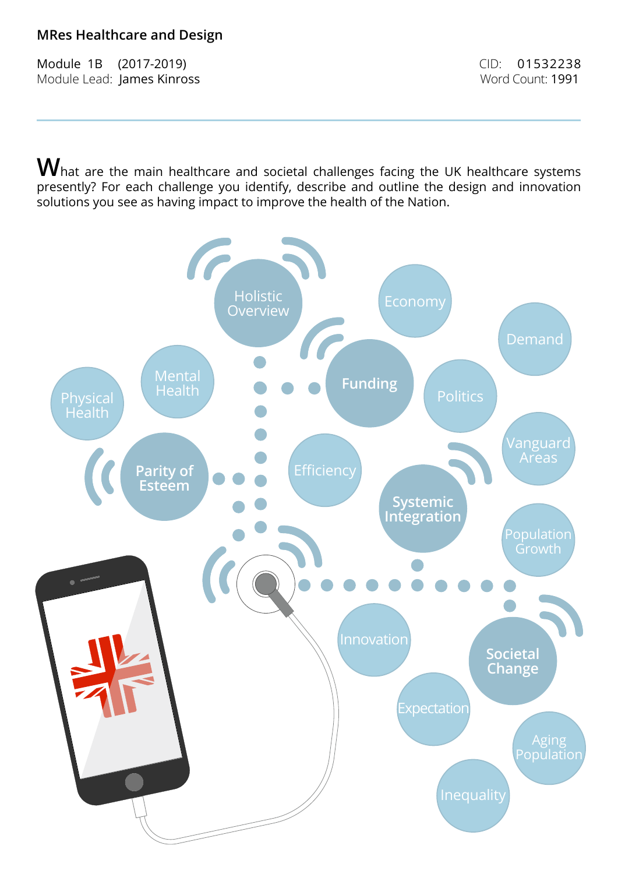# **MRes Healthcare and Design**

Module 1B (2017-2019) CID: 01532238 Module Lead: James Kinross Word Count: 1991

 $\mathbf W$ hat are the main healthcare and societal challenges facing the UK healthcare systems presently? For each challenge you identify, describe and outline the design and innovation solutions you see as having impact to improve the health of the Nation.

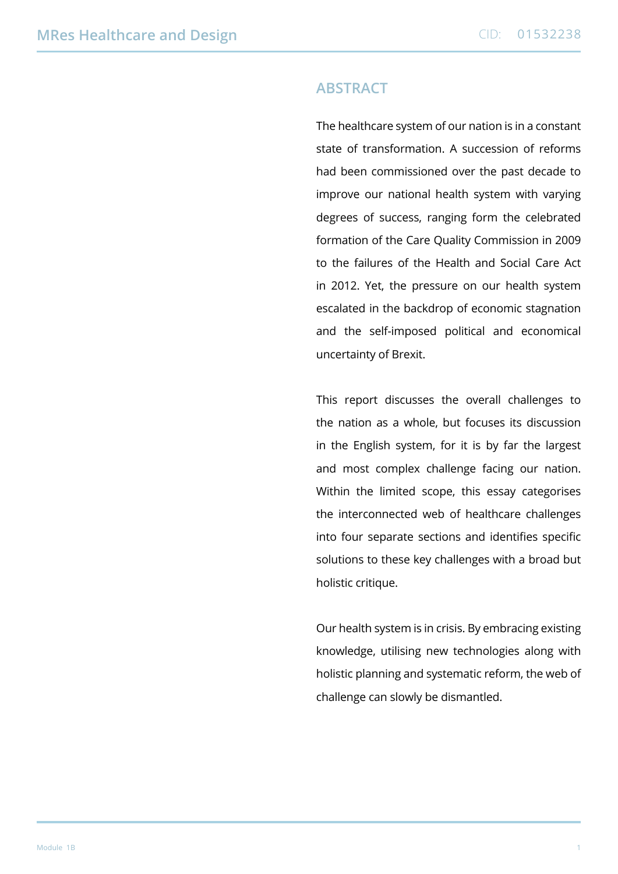### **Abstract**

The healthcare system of our nation is in a constant state of transformation. A succession of reforms had been commissioned over the past decade to improve our national health system with varying degrees of success, ranging form the celebrated formation of the Care Quality Commission in 2009 to the failures of the Health and Social Care Act in 2012. Yet, the pressure on our health system escalated in the backdrop of economic stagnation and the self-imposed political and economical uncertainty of Brexit.

This report discusses the overall challenges to the nation as a whole, but focuses its discussion in the English system, for it is by far the largest and most complex challenge facing our nation. Within the limited scope, this essay categorises the interconnected web of healthcare challenges into four separate sections and identifies specific solutions to these key challenges with a broad but holistic critique.

Our health system is in crisis. By embracing existing knowledge, utilising new technologies along with holistic planning and systematic reform, the web of challenge can slowly be dismantled.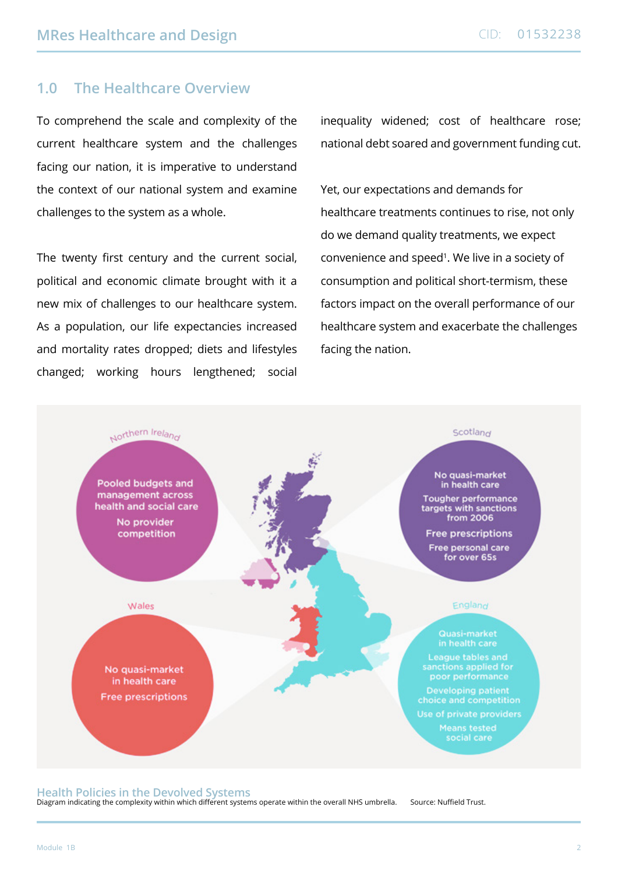## **1.0 The Healthcare Overview**

To comprehend the scale and complexity of the current healthcare system and the challenges facing our nation, it is imperative to understand the context of our national system and examine challenges to the system as a whole.

The twenty first century and the current social, political and economic climate brought with it a new mix of challenges to our healthcare system. As a population, our life expectancies increased and mortality rates dropped; diets and lifestyles changed; working hours lengthened; social inequality widened; cost of healthcare rose; national debt soared and government funding cut.

Yet, our expectations and demands for healthcare treatments continues to rise, not only do we demand quality treatments, we expect convenience and speed<sup>1</sup>. We live in a society of consumption and political short-termism, these factors impact on the overall performance of our healthcare system and exacerbate the challenges facing the nation.



#### **Health Policies in the Devolved Systems**

Diagram indicating the complexity within which different systems operate within the overall NHS umbrella. Source: Nuffield Trust.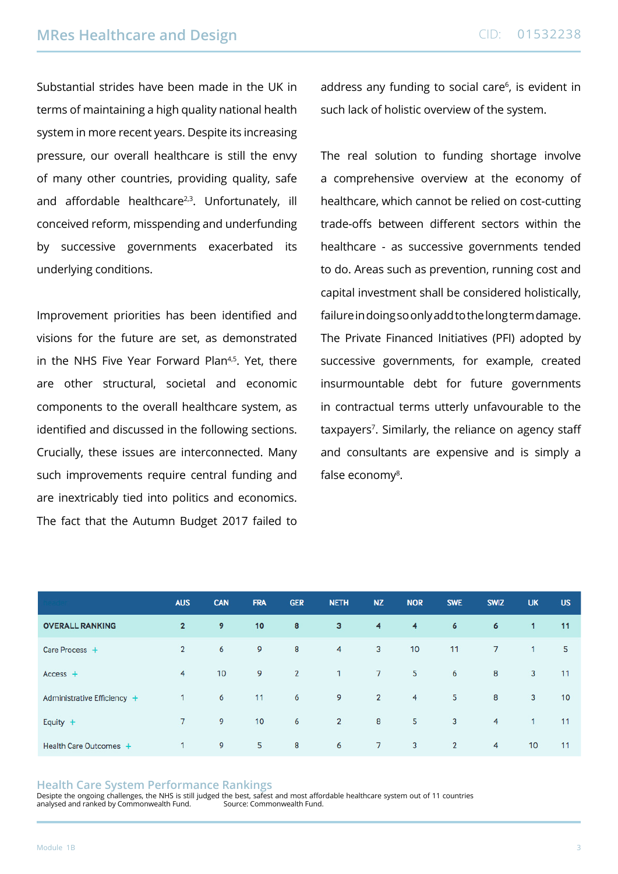Substantial strides have been made in the UK in terms of maintaining a high quality national health system in more recent years. Despite its increasing pressure, our overall healthcare is still the envy of many other countries, providing quality, safe and affordable healthcare<sup>2,3</sup>. Unfortunately, ill conceived reform, misspending and underfunding by successive governments exacerbated its underlying conditions.

Improvement priorities has been identified and visions for the future are set, as demonstrated in the NHS Five Year Forward Plan<sup>4,5</sup>. Yet, there are other structural, societal and economic components to the overall healthcare system, as identified and discussed in the following sections. Crucially, these issues are interconnected. Many such improvements require central funding and are inextricably tied into politics and economics. The fact that the Autumn Budget 2017 failed to address any funding to social care<sup>6</sup>, is evident in such lack of holistic overview of the system.

The real solution to funding shortage involve a comprehensive overview at the economy of healthcare, which cannot be relied on cost-cutting trade-offs between different sectors within the healthcare - as successive governments tended to do. Areas such as prevention, running cost and capital investment shall be considered holistically, failure in doing so only add to the long term damage. The Private Financed Initiatives (PFI) adopted by successive governments, for example, created insurmountable debt for future governments in contractual terms utterly unfavourable to the taxpayers<sup>7</sup>. Similarly, the reliance on agency staff and consultants are expensive and is simply a false economy<sup>8</sup>.

|                             | <b>AUS</b>     | <b>CAN</b> | <b>FRA</b> | <b>GER</b>     | <b>NETH</b>    | <b>NZ</b>       | <b>NOR</b>     | <b>SWE</b>     | <b>SWIZ</b> | <b>UK</b>       | <b>US</b> |
|-----------------------------|----------------|------------|------------|----------------|----------------|-----------------|----------------|----------------|-------------|-----------------|-----------|
| <b>OVERALL RANKING</b>      | $\overline{2}$ | 9          | 10         | 8              | 3              | $\overline{4}$  | $\overline{4}$ | 6              | 6           | 1               | 11        |
| Care Process +              | $\overline{2}$ | 6          | 9          | 8              | $\overline{4}$ | $\overline{3}$  | 10             | 11             | $7^{\circ}$ | $\mathbf{1}$    | 5         |
| $Access +$                  | $\overline{4}$ | 10         | 9          | $\overline{2}$ | 1              | 7 <sup>7</sup>  | 5 <sup>5</sup> | 6              | 8           | $\mathbf{3}$    | 11        |
| Administrative Efficiency + | $\mathbf{1}$   | 6          | 11         | 6              | 9              | $\overline{2}$  | $\overline{4}$ | 5              | 8           | 3               | 10        |
| Equity $+$                  | 7              | 9          | 10         | 6              | $\overline{2}$ | 8               | 5              | 3              | 4           | $\mathbf{1}$    | 11        |
| Health Care Outcomes +      | 1              | 9          | 5          | 8              | 6              | $7\overline{ }$ | 3              | $\overline{2}$ | 4           | 10 <sup>1</sup> | 11        |

#### **Health Care System Performance Rankings**

Desipte the ongoing challenges, the NHS is still judged the best, safest and most affordable healthcare system out of 11 countries analysed and ranked by Commonwealth Fund.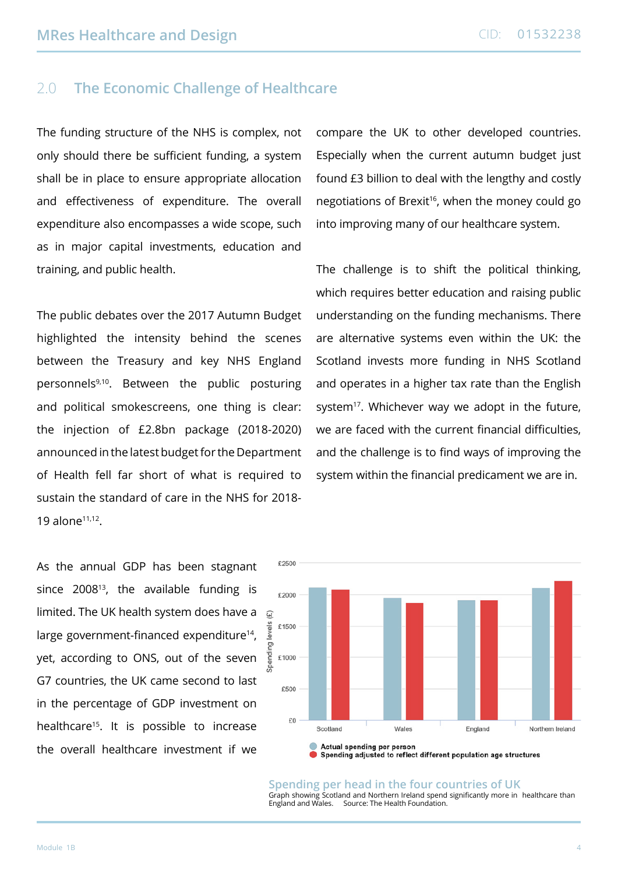# 2.0 **The Economic Challenge of Healthcare**

The funding structure of the NHS is complex, not only should there be sufficient funding, a system shall be in place to ensure appropriate allocation and effectiveness of expenditure. The overall expenditure also encompasses a wide scope, such as in major capital investments, education and training, and public health.

The public debates over the 2017 Autumn Budget highlighted the intensity behind the scenes between the Treasury and key NHS England personnels<sup>9,10</sup>. Between the public posturing and political smokescreens, one thing is clear: the injection of £2.8bn package (2018-2020) announced in the latest budget for the Department of Health fell far short of what is required to sustain the standard of care in the NHS for 2018- 19 alone11,12.

compare the UK to other developed countries. Especially when the current autumn budget just found £3 billion to deal with the lengthy and costly negotiations of Brexit<sup>16</sup>, when the money could go into improving many of our healthcare system.

The challenge is to shift the political thinking, which requires better education and raising public understanding on the funding mechanisms. There are alternative systems even within the UK: the Scotland invests more funding in NHS Scotland and operates in a higher tax rate than the English system $17$ . Whichever way we adopt in the future, we are faced with the current financial difficulties, and the challenge is to find ways of improving the system within the financial predicament we are in.

As the annual GDP has been stagnant since  $2008^{13}$ , the available funding is limited. The UK health system does have a large government-financed expenditure<sup>14</sup>, yet, according to ONS, out of the seven G7 countries, the UK came second to last in the percentage of GDP investment on healthcare<sup>15</sup>. It is possible to increase the overall healthcare investment if we

![](_page_4_Figure_8.jpeg)

**Spending per head in the four countries of UK** Graph showing Scotland and Northern Ireland spend significantly more in healthcare than England and Wales. Source: The Health Foundation.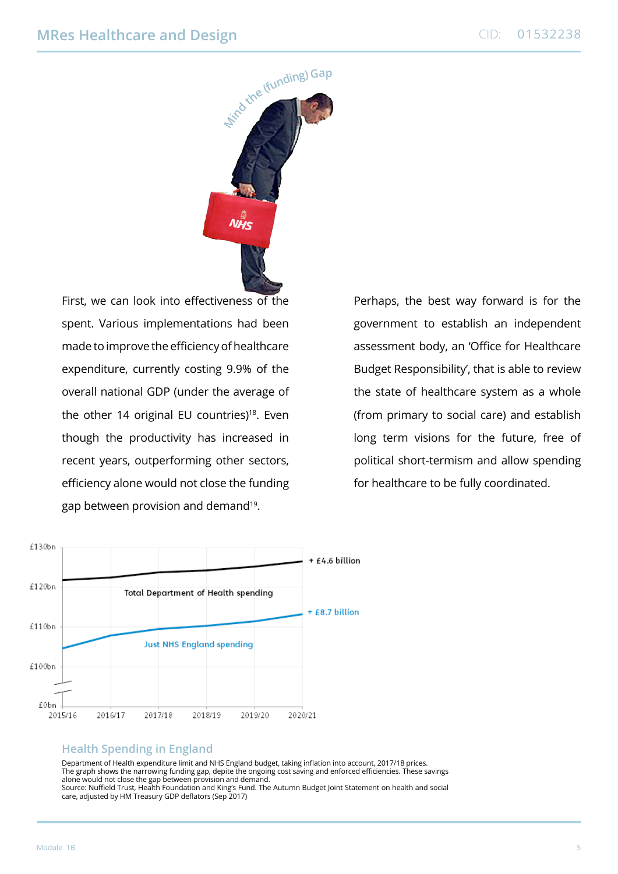![](_page_5_Picture_2.jpeg)

First, we can look into effectiveness of the spent. Various implementations had been made to improve the efficiency of healthcare expenditure, currently costing 9.9% of the overall national GDP (under the average of the other 14 original EU countries)<sup>18</sup>. Even though the productivity has increased in recent years, outperforming other sectors, efficiency alone would not close the funding gap between provision and demand19.

Perhaps, the best way forward is for the government to establish an independent assessment body, an 'Office for Healthcare Budget Responsibility', that is able to review the state of healthcare system as a whole (from primary to social care) and establish long term visions for the future, free of political short-termism and allow spending for healthcare to be fully coordinated.

![](_page_5_Figure_5.jpeg)

#### **Health Spending in England**

Department of Health expenditure limit and NHS England budget, taking inflation into account, 2017/18 prices. The graph shows the narrowing funding gap, depite the ongoing cost saving and enforced efficiencies. These savings alone would not close the gap between provision and demand. Source: Nuffield Trust, Health Foundation and King's Fund. The Autumn Budget Joint Statement on health and social care, adjusted by HM Treasury GDP deflators (Sep 2017)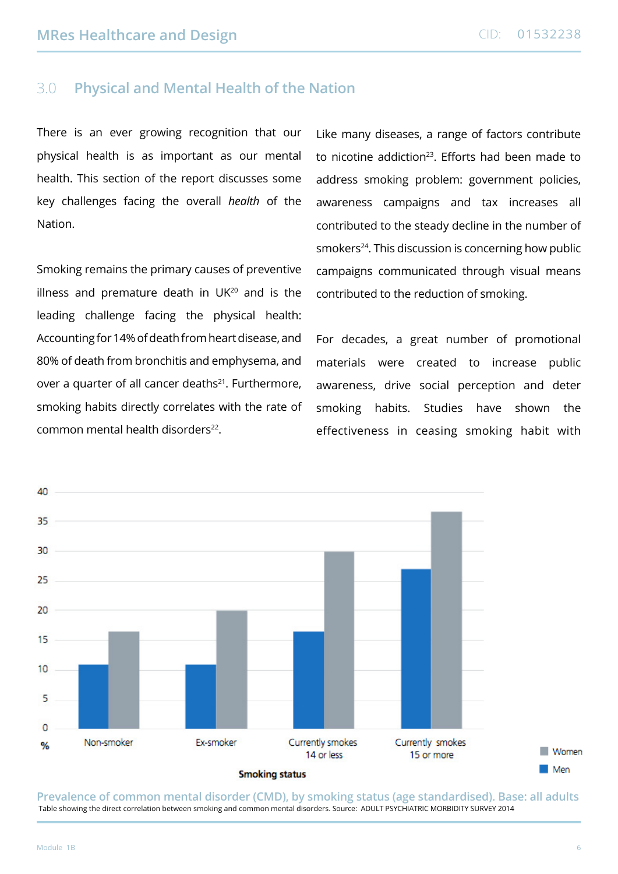## 3.0 **Physical and Mental Health of the Nation**

There is an ever growing recognition that our physical health is as important as our mental health. This section of the report discusses some key challenges facing the overall *health* of the Nation.

Smoking remains the primary causes of preventive illness and premature death in  $UK^{20}$  and is the leading challenge facing the physical health: Accounting for 14% of death from heart disease, and 80% of death from bronchitis and emphysema, and over a quarter of all cancer deaths<sup>21</sup>. Furthermore, smoking habits directly correlates with the rate of common mental health disorders<sup>22</sup>

Like many diseases, a range of factors contribute to nicotine addiction<sup>23</sup>. Efforts had been made to address smoking problem: government policies, awareness campaigns and tax increases all contributed to the steady decline in the number of smokers<sup>24</sup>. This discussion is concerning how public campaigns communicated through visual means contributed to the reduction of smoking.

For decades, a great number of promotional materials were created to increase public awareness, drive social perception and deter smoking habits. Studies have shown the effectiveness in ceasing smoking habit with

![](_page_6_Figure_7.jpeg)

**Prevalence of common mental disorder (CMD), by smoking status (age standardised). Base: all adults** Table showing the direct correlation between smoking and common mental disorders. Source: ADULT PSYCHIATRIC MORBIDITY SURVEY 2014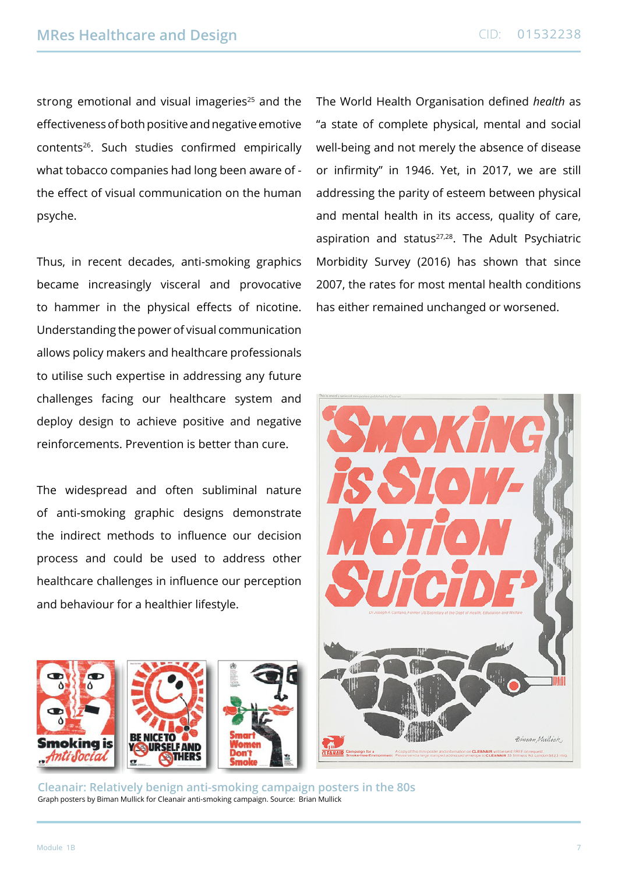strong emotional and visual imageries $25$  and the effectiveness of both positive and negative emotive contents26. Such studies confirmed empirically what tobacco companies had long been aware of the effect of visual communication on the human psyche.

Thus, in recent decades, anti-smoking graphics became increasingly visceral and provocative to hammer in the physical effects of nicotine. Understanding the power of visual communication allows policy makers and healthcare professionals to utilise such expertise in addressing any future challenges facing our healthcare system and deploy design to achieve positive and negative reinforcements. Prevention is better than cure.

The widespread and often subliminal nature of anti-smoking graphic designs demonstrate the indirect methods to influence our decision process and could be used to address other healthcare challenges in influence our perception and behaviour for a healthier lifestyle.

The World Health Organisation defined *health* as "a state of complete physical, mental and social well-being and not merely the absence of disease or infirmity" in 1946. Yet, in 2017, we are still addressing the parity of esteem between physical and mental health in its access, quality of care, aspiration and status<sup>27,28</sup>. The Adult Psychiatric Morbidity Survey (2016) has shown that since 2007, the rates for most mental health conditions has either remained unchanged or worsened.

![](_page_7_Picture_6.jpeg)

![](_page_7_Picture_7.jpeg)

**Cleanair: Relatively benign anti-smoking campaign posters in the 80s**  Graph posters by Biman Mullick for Cleanair anti-smoking campaign. Source: Brian Mullick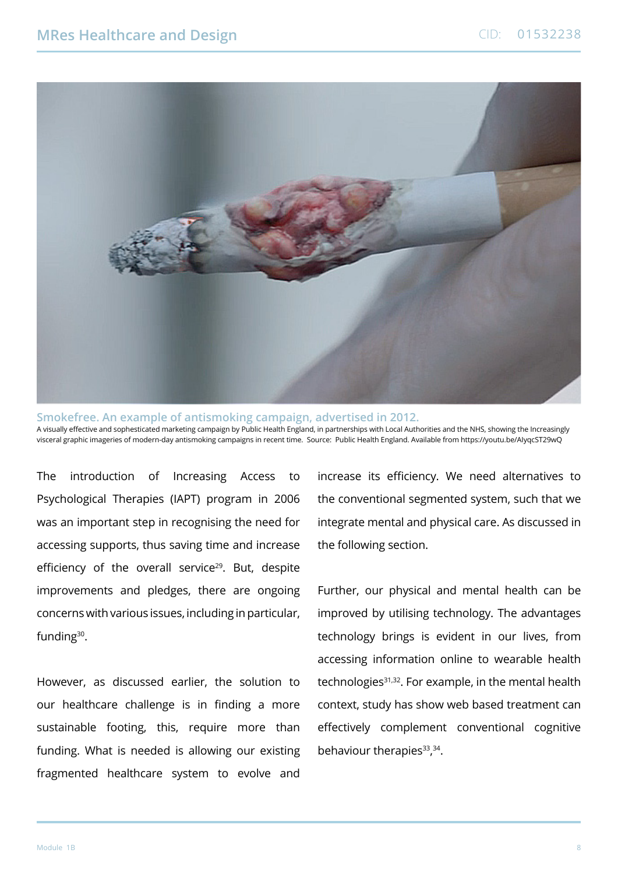![](_page_8_Picture_2.jpeg)

**Smokefree. An example of antismoking campaign, advertised in 2012.** A visually effective and sophesticated marketing campaign by Public Health England, in partnerships with Local Authorities and the NHS, showing the Increasingly visceral graphic imageries of modern-day antismoking campaigns in recent time. Source: Public Health England. Available from https://youtu.be/AIyqcST29wQ

The introduction of Increasing Access to Psychological Therapies (IAPT) program in 2006 was an important step in recognising the need for accessing supports, thus saving time and increase efficiency of the overall service<sup>29</sup>. But, despite improvements and pledges, there are ongoing concerns with various issues, including in particular, funding30.

However, as discussed earlier, the solution to our healthcare challenge is in finding a more sustainable footing, this, require more than funding. What is needed is allowing our existing fragmented healthcare system to evolve and

increase its efficiency. We need alternatives to the conventional segmented system, such that we integrate mental and physical care. As discussed in the following section.

Further, our physical and mental health can be improved by utilising technology. The advantages technology brings is evident in our lives, from accessing information online to wearable health technologies<sup>31,32</sup>. For example, in the mental health context, study has show web based treatment can effectively complement conventional cognitive behaviour therapies<sup>33</sup>,<sup>34</sup>.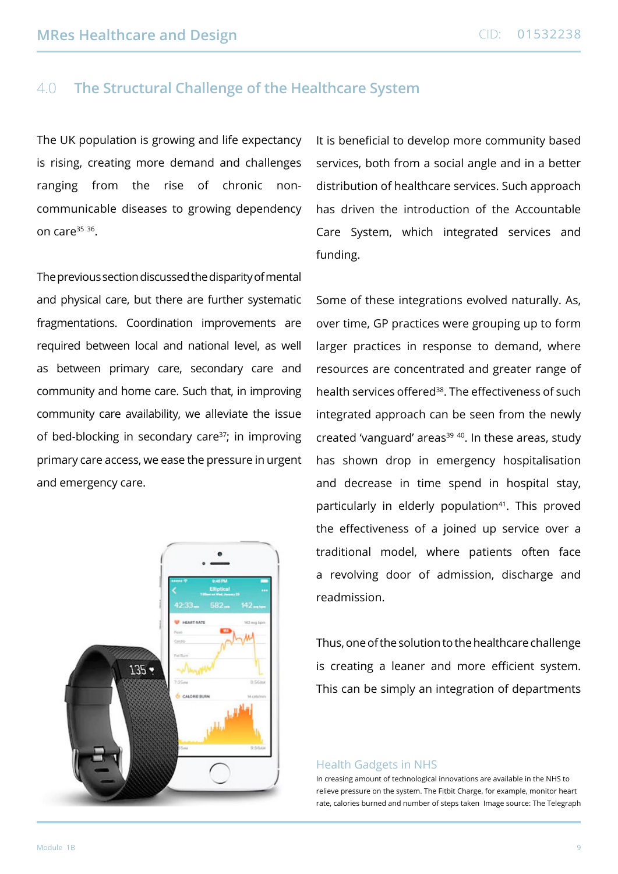# 4.0 **The Structural Challenge of the Healthcare System**

The UK population is growing and life expectancy is rising, creating more demand and challenges ranging from the rise of chronic noncommunicable diseases to growing dependency on care $35$   $36$ .

The previous section discussed the disparity of mental and physical care, but there are further systematic fragmentations. Coordination improvements are required between local and national level, as well as between primary care, secondary care and community and home care. Such that, in improving community care availability, we alleviate the issue of bed-blocking in secondary care<sup>37</sup>; in improving primary care access, we ease the pressure in urgent and emergency care.

![](_page_9_Picture_5.jpeg)

It is beneficial to develop more community based services, both from a social angle and in a better distribution of healthcare services. Such approach has driven the introduction of the Accountable Care System, which integrated services and funding.

Some of these integrations evolved naturally. As, over time, GP practices were grouping up to form larger practices in response to demand, where resources are concentrated and greater range of health services offered<sup>38</sup>. The effectiveness of such integrated approach can be seen from the newly created 'vanguard' areas<sup>39 40</sup>. In these areas, study has shown drop in emergency hospitalisation and decrease in time spend in hospital stay, particularly in elderly population<sup>41</sup>. This proved the effectiveness of a joined up service over a traditional model, where patients often face a revolving door of admission, discharge and readmission.

Thus, one of the solution to the healthcare challenge is creating a leaner and more efficient system. This can be simply an integration of departments

#### Health Gadgets in NHS

In creasing amount of technological innovations are available in the NHS to relieve pressure on the system. The Fitbit Charge, for example, monitor heart rate, calories burned and number of steps taken Image source: The Telegraph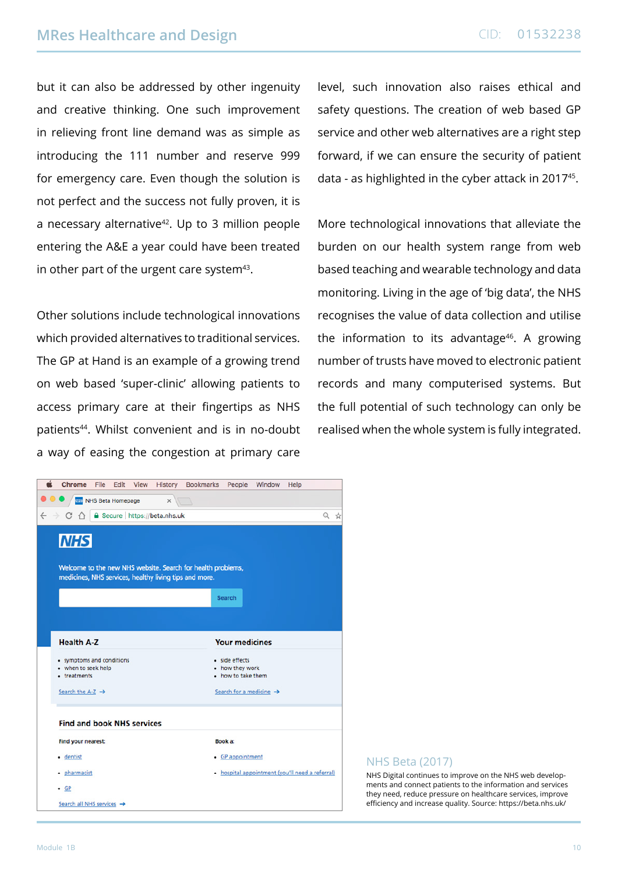but it can also be addressed by other ingenuity and creative thinking. One such improvement in relieving front line demand was as simple as introducing the 111 number and reserve 999 for emergency care. Even though the solution is not perfect and the success not fully proven, it is a necessary alternative<sup>42</sup>. Up to 3 million people entering the A&E a year could have been treated in other part of the urgent care system $43$ .

Other solutions include technological innovations which provided alternatives to traditional services. The GP at Hand is an example of a growing trend on web based 'super-clinic' allowing patients to access primary care at their fingertips as NHS patients44. Whilst convenient and is in no-doubt a way of easing the congestion at primary care level, such innovation also raises ethical and safety questions. The creation of web based GP service and other web alternatives are a right step forward, if we can ensure the security of patient data - as highlighted in the cyber attack in 201745.

More technological innovations that alleviate the burden on our health system range from web based teaching and wearable technology and data monitoring. Living in the age of 'big data', the NHS recognises the value of data collection and utilise the information to its advantage<sup>46</sup>. A growing number of trusts have moved to electronic patient records and many computerised systems. But the full potential of such technology can only be realised when the whole system is fully integrated.

|                               | <b>Chrome</b>                       | File | Edit | View | <b>History</b>                      | <b>Bookmarks</b>                                                                                                      | People                                | Window                                          | Help |   |   |
|-------------------------------|-------------------------------------|------|------|------|-------------------------------------|-----------------------------------------------------------------------------------------------------------------------|---------------------------------------|-------------------------------------------------|------|---|---|
| <b>NHS Beta Homepage</b><br>x |                                     |      |      |      |                                     |                                                                                                                       |                                       |                                                 |      |   |   |
| $\leftarrow$                  | С<br>$\bigcap$                      |      |      |      | <b>a</b> Secure https://beta.nhs.uk |                                                                                                                       |                                       |                                                 |      | Q | Ŵ |
|                               |                                     |      |      |      |                                     |                                                                                                                       |                                       |                                                 |      |   |   |
|                               | <b>NHS</b>                          |      |      |      |                                     |                                                                                                                       |                                       |                                                 |      |   |   |
|                               |                                     |      |      |      |                                     |                                                                                                                       |                                       |                                                 |      |   |   |
|                               |                                     |      |      |      |                                     | Welcome to the new NHS website. Search for health problems,<br>medicines, NHS services, healthy living tips and more. |                                       |                                                 |      |   |   |
|                               |                                     |      |      |      |                                     |                                                                                                                       |                                       |                                                 |      |   |   |
|                               |                                     |      |      |      |                                     |                                                                                                                       | <b>Search</b>                         |                                                 |      |   |   |
|                               |                                     |      |      |      |                                     |                                                                                                                       |                                       |                                                 |      |   |   |
|                               |                                     |      |      |      |                                     |                                                                                                                       |                                       |                                                 |      |   |   |
|                               | <b>Health A-Z</b>                   |      |      |      |                                     |                                                                                                                       | <b>Your medicines</b>                 |                                                 |      |   |   |
|                               | · symptoms and conditions           |      |      |      |                                     |                                                                                                                       | · side effects                        |                                                 |      |   |   |
|                               | · when to seek help<br>• treatments |      |      |      |                                     |                                                                                                                       | • how they work<br>. how to take them |                                                 |      |   |   |
|                               | Search the A-Z $\rightarrow$        |      |      |      |                                     |                                                                                                                       |                                       | Search for a medicine →                         |      |   |   |
|                               |                                     |      |      |      |                                     |                                                                                                                       |                                       |                                                 |      |   |   |
|                               |                                     |      |      |      |                                     |                                                                                                                       |                                       |                                                 |      |   |   |
|                               | <b>Find and book NHS services</b>   |      |      |      |                                     |                                                                                                                       |                                       |                                                 |      |   |   |
|                               | Find your nearest:                  |      |      |      |                                     |                                                                                                                       | Book a:                               |                                                 |      |   |   |
|                               | · dentist                           |      |      |      |                                     |                                                                                                                       | • GP appointment                      |                                                 |      |   |   |
|                               | · pharmacist                        |      |      |      |                                     |                                                                                                                       |                                       | · hospital appointment (you'll need a referral) |      |   |   |
|                               | $\cdot$ GP                          |      |      |      |                                     |                                                                                                                       |                                       |                                                 |      |   |   |
|                               | Search all NHS services →           |      |      |      |                                     |                                                                                                                       |                                       |                                                 |      |   |   |

### NHS Beta (2017)

NHS Digital continues to improve on the NHS web developments and connect patients to the information and services they need, reduce pressure on healthcare services, improve efficiency and increase quality. Source: https://beta.nhs.uk/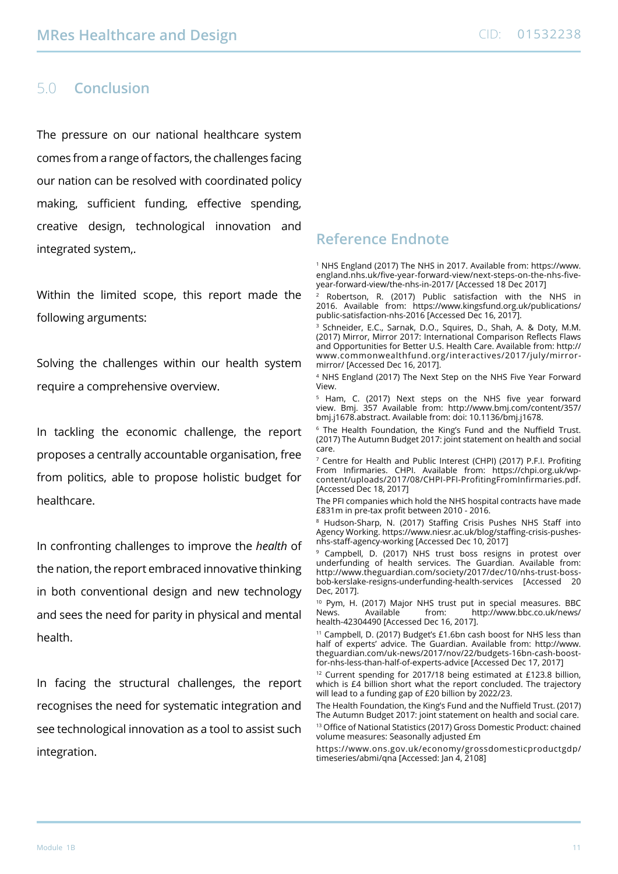## 5.0 **Conclusion**

The pressure on our national healthcare system comes from a range of factors, the challenges facing our nation can be resolved with coordinated policy making, sufficient funding, effective spending, creative design, technological innovation and integrated system,.

Within the limited scope, this report made the following arguments:

Solving the challenges within our health system require a comprehensive overview.

In tackling the economic challenge, the report proposes a centrally accountable organisation, free from politics, able to propose holistic budget for healthcare.

In confronting challenges to improve the *health* of the nation, the report embraced innovative thinking in both conventional design and new technology and sees the need for parity in physical and mental health.

In facing the structural challenges, the report recognises the need for systematic integration and see technological innovation as a tool to assist such integration.

# **Reference Endnote**

<sup>1</sup> NHS England (2017) The NHS in 2017. Available from: [https://www.](https://www.england.nhs.uk/five-year-forward-view/next-steps-on-the-nhs-five-year-forward-view/the-nhs-in-2017/) [england.nhs.uk/five-year-forward-view/next-steps-on-the-nhs-five](https://www.england.nhs.uk/five-year-forward-view/next-steps-on-the-nhs-five-year-forward-view/the-nhs-in-2017/)[year-forward-view/the-nhs-in-2017/](https://www.england.nhs.uk/five-year-forward-view/next-steps-on-the-nhs-five-year-forward-view/the-nhs-in-2017/) [Accessed 18 Dec 2017]

Robertson, R. (2017) Public satisfaction with the NHS in 2016. Available from:  [https://www.kingsfund.org.uk/publications/](https://www.kingsfund.org.uk/publications/public-satisfaction-nhs-2016) [public-satisfaction-nhs-2016](https://www.kingsfund.org.uk/publications/public-satisfaction-nhs-2016) [Accessed Dec 16, 2017].

<sup>3</sup> Schneider, E.C., Sarnak, D.O., Squires, D., Shah, A. & Doty, M.M. (2017) Mirror, Mirror 2017: International Comparison Reflects Flaws and Opportunities for Better U.S. Health Care. Available from: [http://](http://www.commonwealthfund.org/interactives/2017/july/mirror-mirror/) [www.commonwealthfund.org/interactives/2017/july/mirror](http://www.commonwealthfund.org/interactives/2017/july/mirror-mirror/)[mirror/](http://www.commonwealthfund.org/interactives/2017/july/mirror-mirror/) [Accessed Dec 16, 2017].

4 NHS England (2017) The Next Step on the NHS Five Year Forward View.

<sup>5</sup> Ham, C. (2017) Next steps on the NHS five year forward view. Bmj. 357 Available from:  [http://www.bmj.com/content/357/](http://www.bmj.com/content/357/bmj.j1678.abstract) [bmj.j1678.abstract](http://www.bmj.com/content/357/bmj.j1678.abstract). Available from: doi: 10.1136/bmj.j1678.

<sup>6</sup> The Health Foundation, the King's Fund and the Nuffield Trust. (2017) The Autumn Budget 2017: joint statement on health and social care.

<sup>7</sup> Centre for Health and Public Interest (CHPI) (2017) P.F.I. Profiting From Infirmaries. CHPI. Available from: [https://chpi.org.uk/wp](https://chpi.org.uk/wp-content/uploads/2017/08/CHPI-PFI-ProfitingFromInfirmaries.pdf)[content/uploads/2017/08/CHPI-PFI-ProfitingFromInfirmaries.pdf.](https://chpi.org.uk/wp-content/uploads/2017/08/CHPI-PFI-ProfitingFromInfirmaries.pdf) [Accessed Dec 18, 2017]

The PFI companies which hold the NHS hospital contracts have made £831m in pre-tax profit between 2010 - 2016.

<sup>8</sup> Hudson-Sharp, N. (2017) Staffing Crisis Pushes NHS Staff into Agency Working. [https://www.niesr.ac.uk/blog/staffing-crisis-pushes](https://www.niesr.ac.uk/blog/staffing-crisis-pushes-nhs-staff-agency-working)[nhs-staff-agency-working](https://www.niesr.ac.uk/blog/staffing-crisis-pushes-nhs-staff-agency-working) [Accessed Dec 10, 2017]

9 Campbell, D. (2017) NHS trust boss resigns in protest over underfunding of health services. The Guardian. Available from: [http://www.theguardian.com/society/2017/dec/10/nhs-trust-boss](http://www.theguardian.com/society/2017/dec/10/nhs-trust-boss-bob-kerslake-resigns-underfunding-health-services)[bob-kerslake-resigns-underfunding-health-services](http://www.theguardian.com/society/2017/dec/10/nhs-trust-boss-bob-kerslake-resigns-underfunding-health-services) [Accessed 20 Dec, 2017].

<sup>10</sup> Pym, H. (2017) Major NHS trust put in special measures. BBC<br>News **Available** from http://www.bbc.co.uk/pews/ Available from: [http://www.bbc.co.uk/news/](http://www.bbc.co.uk/news/health-42304490) [health-42304490](http://www.bbc.co.uk/news/health-42304490) [Accessed Dec 16, 2017].

<sup>11</sup> Campbell, D. (2017) Budget's £1.6bn cash boost for NHS less than half of experts' advice. The Guardian. Available from:  [http://www.](http://www.theguardian.com/uk-news/2017/nov/22/budgets-16bn-cash-boost-for-nhs-less-than-half-of-experts-advice) [theguardian.com/uk-news/2017/nov/22/budgets-16bn-cash-boost](http://www.theguardian.com/uk-news/2017/nov/22/budgets-16bn-cash-boost-for-nhs-less-than-half-of-experts-advice)[for-nhs-less-than-half-of-experts-advice](http://www.theguardian.com/uk-news/2017/nov/22/budgets-16bn-cash-boost-for-nhs-less-than-half-of-experts-advice) [Accessed Dec 17, 2017]

<sup>12</sup> Current spending for 2017/18 being estimated at £123.8 billion, which is £4 billion short what the report concluded. The trajectory will lead to a funding gap of £20 billion by 2022/23.

The Health Foundation, the King's Fund and the Nuffield Trust. (2017) The Autumn Budget 2017: joint statement on health and social care. <sup>13</sup> Office of National Statistics (2017) Gross Domestic Product: chained volume measures: Seasonally adjusted £m

[https://www.ons.gov.uk/economy/grossdomesticproductgdp/](https://www.ons.gov.uk/economy/grossdomesticproductgdp/timeseries/abmi/qna) [timeseries/abmi/qna](https://www.ons.gov.uk/economy/grossdomesticproductgdp/timeseries/abmi/qna) [Accessed: Jan 4, 2108]